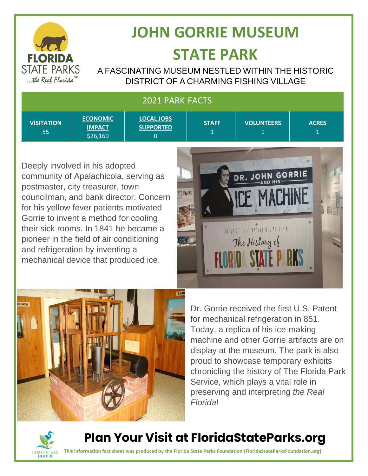

# **JOHN GORRIE MUSEUM STATE PARK**

A FASCINATING MUSEUM NESTLED WITHIN THE HISTORIC DISTRICT OF A CHARMING FISHING VILLAGE

#### 2021 PARK FACTS

| <b>VISITATION</b><br>55 | <b>ECONOMIC</b><br><b>IMPACT</b><br>\$26,160 | <b>LOCAL JOBS</b><br><b>SUPPORTED</b> | <b>STAFF</b> | <b>VOLUNTEERS</b> | <b>ACRES</b> |
|-------------------------|----------------------------------------------|---------------------------------------|--------------|-------------------|--------------|

Deeply involved in his adopted community of Apalachicola, serving as postmaster, city treasurer, town councilman, and bank director. Concern for his yellow fever patients motivated Gorrie to invent a method for cooling their sick rooms. In 1841 he became a pioneer in the field of air conditioning and refrigeration by inventing a mechanical device that produced ice.





Dr. Gorrie received the first U.S. Patent for mechanical refrigeration in 851. Today, a replica of his ice-making machine and other Gorrie artifacts are on display at the museum. The park is also proud to showcase temporary exhibits chronicling the history of The Florida Park Service, which plays a vital role in preserving and interpreting *the Real Florida*!



**Plan Your Visit at FloridaStateParks.org**

**This information fact sheet was produced by the Florida State Parks Foundation (FloridaStateParksFoundation.org)**